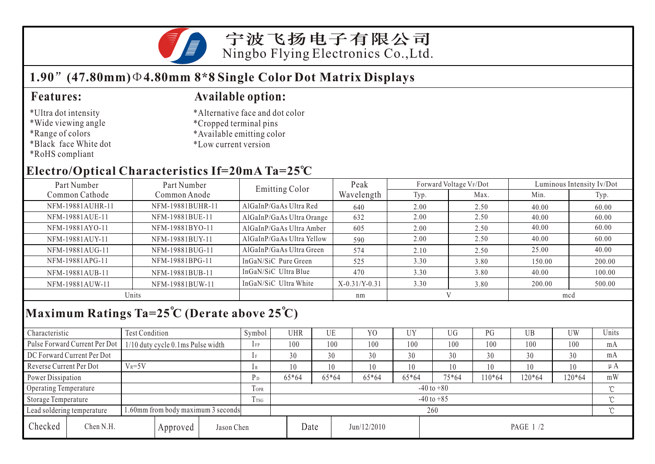

### **1.90 (47.80mm) 4.80mm 8\*8 Single Color Dot Matrix Displays**

#### \*Ultra dot intensity

- \*Wide viewing angle
- \*Range of colors
- \*Black face White dot
- \*RoHS compliant

### **Features: Available option:**

- \*Alternative face and dot color
- \*Cropped terminal pins
- \*Available emitting color
- \*Low current version

## **Electro/Optical Characteristics If=20mA Ta=25 C**

| Part Number<br>Part Number |                  | Emitting Color            | Peak            |      | Forward Voltage VF/Dot | Luminous Intensity Iv/Dot |        |  |
|----------------------------|------------------|---------------------------|-----------------|------|------------------------|---------------------------|--------|--|
| Common Cathode             | Common Anode     |                           | Wavelength      | Typ. | Max.                   | Min.                      | Typ.   |  |
| NFM-19881AUHR-11           | NFM-19881BUHR-11 | AlGaInP/GaAs Ultra Red    | 640             | 2.00 | 2.50                   | 40.00                     | 60.00  |  |
| NFM-19881AUE-11            | NFM-19881BUE-11  | AlGaInP/GaAs Ultra Orange | 632             | 2.00 | 2.50                   | 40.00                     | 60.00  |  |
| NFM-19881AYO-11            | NFM-19881BYO-11  | AlGaInP/GaAs Ultra Amber  | 605             | 2.00 | 2.50                   | 40.00                     | 60.00  |  |
| NFM-19881AUY-11            | NFM-19881BUY-11  | AlGaInP/GaAs Ultra Yellow | 590             | 2.00 | 2.50                   | 40.00                     | 60.00  |  |
| NFM-19881AUG-11            | NFM-19881BUG-11  | AlGaInP/GaAs Ultra Green  | 574             | 2.10 | 2.50                   | 25.00                     | 40.00  |  |
| NFM-19881APG-11            | NFM-19881BPG-11  | InGaN/SiC Pure Green      | 525             | 3.30 | 3.80                   | 150.00                    | 200.00 |  |
| NFM-19881AUB-11            | NFM-19881BUB-11  | InGaN/SiC Ultra Blue      | 470             | 3.30 | 3.80                   | 40.00                     | 100.00 |  |
| NFM-19881AUW-11            | NFM-19881BUW-11  | InGaN/SiC Ultra White     | $X-0.31/Y-0.31$ | 3.30 | 3.80                   | 200.00                    | 500.00 |  |
| Units                      |                  |                           | nm              |      |                        | mcd                       |        |  |

# **Maximum Ratings Ta=25 C (Derate above 25 C)**

| Characteristic                                                  |                               | Test Condition                    |                |                | Symbol         | UHR   |       | UE          | Y <sub>0</sub> | UY      | UG       | PG     | UB  | UW       | Units   |  |
|-----------------------------------------------------------------|-------------------------------|-----------------------------------|----------------|----------------|----------------|-------|-------|-------------|----------------|---------|----------|--------|-----|----------|---------|--|
|                                                                 | Pulse Forward Current Per Dot | 1/10 duty cycle 0.1ms Pulse width |                |                | $1$ FP         | 100   |       | 100         | 100            | 100     | 100      | 100    | 100 | 100      | mA      |  |
| DC Forward Current Per Dot                                      |                               |                                   |                | 1F             | 30             |       | 30    | 30          | 30             | 30      | 30       | 30     | 30  | mA       |         |  |
| Reverse Current Per Dot                                         |                               | $V_R = 5V$                        |                |                | 1R             | 10    |       | 10          | 10             | 10      | 10       | 10     | 10  | 10       | $\mu A$ |  |
| Power Dissipation                                               |                               |                                   | P <sub>D</sub> | $65*64$        |                | 65*64 | 65*64 | $65*64$     | 75*64          | $10*64$ | $120*64$ | 120*64 | mW  |          |         |  |
| Operating Temperature                                           |                               |                                   | TOPR           | $-40$ to $+80$ |                |       |       |             |                |         |          |        |     |          |         |  |
| Storage Temperature                                             |                               |                                   |                | Trsg           | $-40$ to $+85$ |       |       |             |                |         |          |        |     | $\gamma$ |         |  |
| .60mm from body maximum 3 seconds<br>Lead soldering temperature |                               |                                   |                | 260            |                |       |       |             |                |         |          |        |     |          |         |  |
| Checked                                                         | Chen N.H.                     |                                   | Approved       | Jason Chen     |                |       | Date  | Jun/12/2010 |                |         | PAGE 1/2 |        |     |          |         |  |